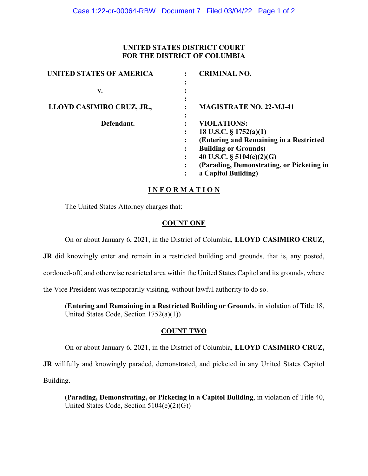## **UNITED STATES DISTRICT COURT FOR THE DISTRICT OF COLUMBIA**

| <b>UNITED STATES OF AMERICA</b> | <b>CRIMINAL NO.</b>                                      |
|---------------------------------|----------------------------------------------------------|
|                                 | $\bullet$                                                |
| v.                              |                                                          |
| LLOYD CASIMIRO CRUZ, JR.,       | $\bullet$<br><b>MAGISTRATE NO. 22-MJ-41</b><br>$\bullet$ |
| Defendant.                      | $\bullet$<br><b>VIOLATIONS:</b>                          |
|                                 | 18 U.S.C. $\S 1752(a)(1)$                                |
|                                 | (Entering and Remaining in a Restricted                  |
|                                 | <b>Building or Grounds)</b>                              |
|                                 | 40 U.S.C. $\S$ 5104(e)(2)(G)                             |
|                                 | (Parading, Demonstrating, or Picketing in                |
|                                 | a Capitol Building)<br>$\bullet$                         |
|                                 |                                                          |

## **I N F O R M A T I O N**

The United States Attorney charges that:

## **COUNT ONE**

On or about January 6, 2021, in the District of Columbia, **LLOYD CASIMIRO CRUZ,** 

**JR** did knowingly enter and remain in a restricted building and grounds, that is, any posted,

cordoned-off, and otherwise restricted area within the United States Capitol and its grounds, where

the Vice President was temporarily visiting, without lawful authority to do so.

(**Entering and Remaining in a Restricted Building or Grounds**, in violation of Title 18, United States Code, Section 1752(a)(1))

## **COUNT TWO**

On or about January 6, 2021, in the District of Columbia, **LLOYD CASIMIRO CRUZ,** 

**JR** willfully and knowingly paraded, demonstrated, and picketed in any United States Capitol Building.

(**Parading, Demonstrating, or Picketing in a Capitol Building**, in violation of Title 40, United States Code, Section 5104(e)(2)(G))